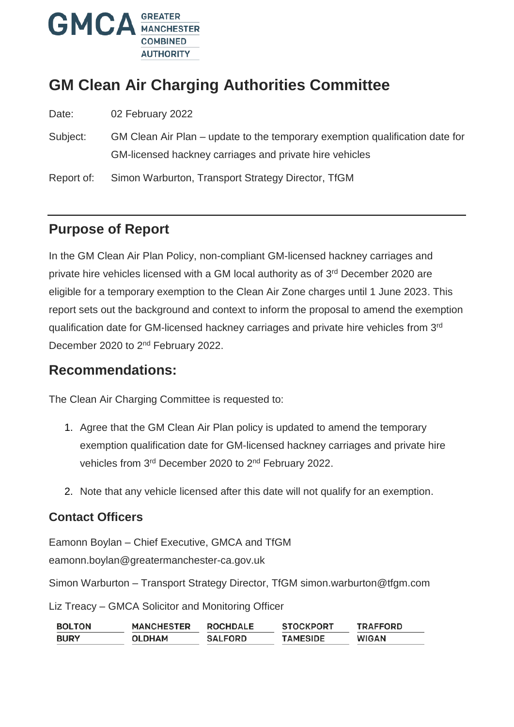

# **GM Clean Air Charging Authorities Committee**

Date: 02 February 2022

Subject: GM Clean Air Plan – update to the temporary exemption qualification date for GM-licensed hackney carriages and private hire vehicles

Report of: Simon Warburton, Transport Strategy Director, TfGM

# **Purpose of Report**

In the GM Clean Air Plan Policy, non-compliant GM-licensed hackney carriages and private hire vehicles licensed with a GM local authority as of 3rd December 2020 are eligible for a temporary exemption to the Clean Air Zone charges until 1 June 2023. This report sets out the background and context to inform the proposal to amend the exemption qualification date for GM-licensed hackney carriages and private hire vehicles from 3rd December 2020 to 2<sup>nd</sup> February 2022.

#### **Recommendations:**

The Clean Air Charging Committee is requested to:

- 1. Agree that the GM Clean Air Plan policy is updated to amend the temporary exemption qualification date for GM-licensed hackney carriages and private hire vehicles from 3<sup>rd</sup> December 2020 to 2<sup>nd</sup> February 2022.
- 2. Note that any vehicle licensed after this date will not qualify for an exemption.

#### **Contact Officers**

Eamonn Boylan – Chief Executive, GMCA and TfGM

eamonn.boylan@greatermanchester-ca.gov.uk

Simon Warburton – Transport Strategy Director, TfGM simon.warburton@tfgm.com

Liz Treacy – GMCA Solicitor and Monitoring Officer

| <b>BOLTON</b> | <b>MANCHESTER</b> | <b>ROCHDALE</b> | <b>STOCKPORT</b> | <b>TRAFFORD</b> |
|---------------|-------------------|-----------------|------------------|-----------------|
| <b>BURY</b>   | OLDHAM            | <b>SALFORD</b>  | <b>TAMESIDE</b>  | WIGAN           |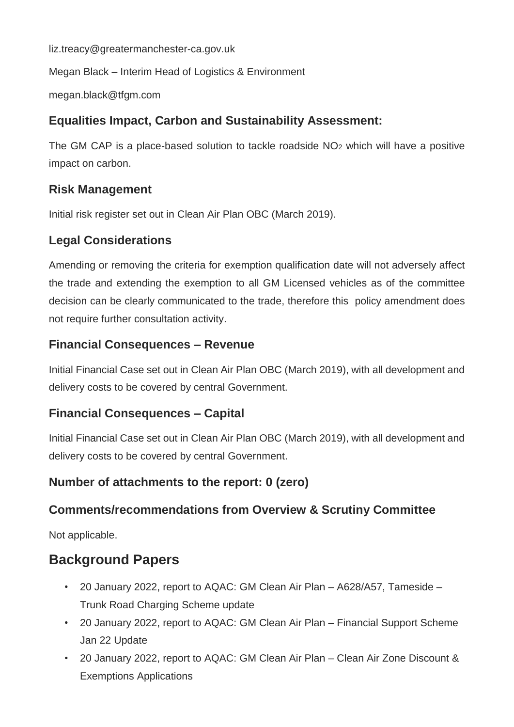liz.treacy@greatermanchester-ca.gov.uk

Megan Black – Interim Head of Logistics & Environment

megan.black@tfgm.com

#### **Equalities Impact, Carbon and Sustainability Assessment:**

The GM CAP is a place-based solution to tackle roadside  $NO<sub>2</sub>$  which will have a positive impact on carbon.

#### **Risk Management**

Initial risk register set out in Clean Air Plan OBC (March 2019).

#### **Legal Considerations**

Amending or removing the criteria for exemption qualification date will not adversely affect the trade and extending the exemption to all GM Licensed vehicles as of the committee decision can be clearly communicated to the trade, therefore this policy amendment does not require further consultation activity.

#### **Financial Consequences – Revenue**

Initial Financial Case set out in Clean Air Plan OBC (March 2019), with all development and delivery costs to be covered by central Government.

#### **Financial Consequences – Capital**

Initial Financial Case set out in Clean Air Plan OBC (March 2019), with all development and delivery costs to be covered by central Government.

#### **Number of attachments to the report: 0 (zero)**

#### **Comments/recommendations from Overview & Scrutiny Committee**

Not applicable.

### **Background Papers**

- 20 January 2022, report to AQAC: GM Clean Air Plan A628/A57, Tameside Trunk Road Charging Scheme update
- 20 January 2022, report to AQAC: GM Clean Air Plan Financial Support Scheme Jan 22 Update
- 20 January 2022, report to AQAC: GM Clean Air Plan Clean Air Zone Discount & Exemptions Applications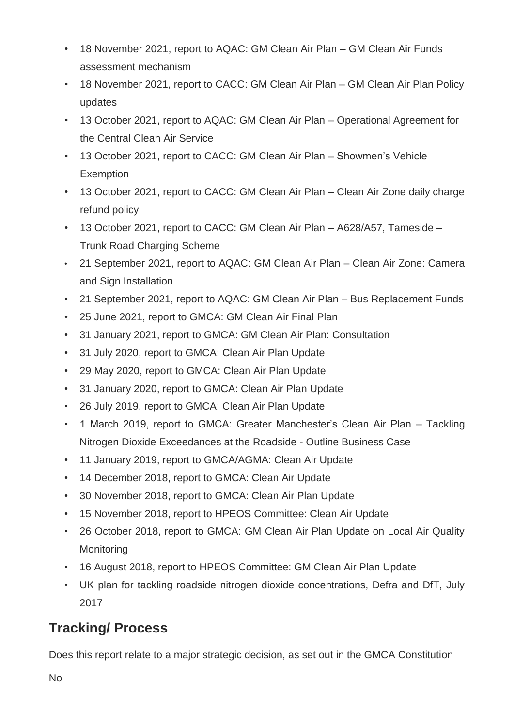- 18 November 2021, report to AQAC: GM Clean Air Plan GM Clean Air Funds assessment mechanism
- 18 November 2021, report to CACC: GM Clean Air Plan GM Clean Air Plan Policy updates
- 13 October 2021, report to AQAC: GM Clean Air Plan Operational Agreement for the Central Clean Air Service
- 13 October 2021, report to CACC: GM Clean Air Plan Showmen's Vehicle **Exemption**
- 13 October 2021, report to CACC: GM Clean Air Plan Clean Air Zone daily charge refund policy
- 13 October 2021, report to CACC: GM Clean Air Plan A628/A57, Tameside Trunk Road Charging Scheme
- 21 September 2021, report to AQAC: GM Clean Air Plan Clean Air Zone: Camera and Sign Installation
- 21 September 2021, report to AQAC: GM Clean Air Plan Bus Replacement Funds
- 25 June 2021, report to GMCA: GM Clean Air Final Plan
- 31 January 2021, report to GMCA: GM Clean Air Plan: Consultation
- 31 July 2020, report to GMCA: Clean Air Plan Update
- 29 May 2020, report to GMCA: Clean Air Plan Update
- 31 January 2020, report to GMCA: Clean Air Plan Update
- 26 July 2019, report to GMCA: Clean Air Plan Update
- 1 March 2019, report to GMCA: Greater Manchester's Clean Air Plan Tackling Nitrogen Dioxide Exceedances at the Roadside - Outline Business Case
- 11 January 2019, report to GMCA/AGMA: Clean Air Update
- 14 December 2018, report to GMCA: Clean Air Update
- 30 November 2018, report to GMCA: Clean Air Plan Update
- 15 November 2018, report to HPEOS Committee: Clean Air Update
- 26 October 2018, report to GMCA: GM Clean Air Plan Update on Local Air Quality **Monitoring**
- 16 August 2018, report to HPEOS Committee: GM Clean Air Plan Update
- UK plan for tackling roadside nitrogen dioxide concentrations, Defra and DfT, July 2017

# **Tracking/ Process**

Does this report relate to a major strategic decision, as set out in the GMCA Constitution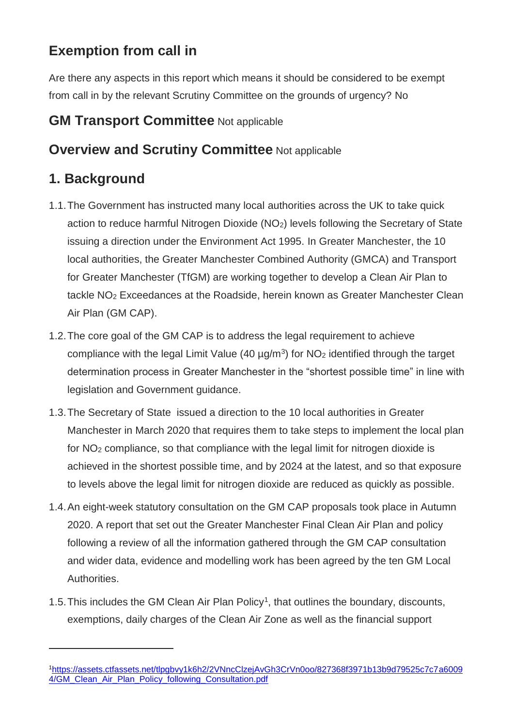# **Exemption from call in**

Are there any aspects in this report which means it should be considered to be exempt from call in by the relevant Scrutiny Committee on the grounds of urgency? No

# **GM Transport Committee** Not applicable

# **Overview and Scrutiny Committee Not applicable**

# **1. Background**

 $\overline{a}$ 

- 1.1.The Government has instructed many local authorities across the UK to take quick action to reduce harmful Nitrogen Dioxide (NO2) levels following the Secretary of State issuing a direction under the Environment Act 1995. In Greater Manchester, the 10 local authorities, the Greater Manchester Combined Authority (GMCA) and Transport for Greater Manchester (TfGM) are working together to develop a Clean Air Plan to tackle NO<sup>2</sup> Exceedances at the Roadside, herein known as Greater Manchester Clean Air Plan (GM CAP).
- 1.2.The core goal of the GM CAP is to address the legal requirement to achieve compliance with the legal Limit Value (40  $\mu$ g/m<sup>3</sup>) for NO<sub>2</sub> identified through the target determination process in Greater Manchester in the "shortest possible time" in line with legislation and Government guidance.
- 1.3.The Secretary of State issued a direction to the 10 local authorities in Greater Manchester in March 2020 that requires them to take steps to implement the local plan for NO<sup>2</sup> compliance, so that compliance with the legal limit for nitrogen dioxide is achieved in the shortest possible time, and by 2024 at the latest, and so that exposure to levels above the legal limit for nitrogen dioxide are reduced as quickly as possible.
- 1.4.An eight-week statutory consultation on the GM CAP proposals took place in Autumn 2020. A report that set out the Greater Manchester Final Clean Air Plan and policy following a review of all the information gathered through the GM CAP consultation and wider data, evidence and modelling work has been agreed by the ten GM Local Authorities.
- 1.5. This includes the GM Clean Air Plan Policy<sup>1</sup>, that outlines the boundary, discounts, exemptions, daily charges of the Clean Air Zone as well as the financial support

<sup>1</sup>[https://assets.ctfassets.net/tlpgbvy1k6h2/2VNncClzejAvGh3CrVn0oo/827368f3971b13b9d79525c7c7a6009](https://assets.ctfassets.net/tlpgbvy1k6h2/2VNncClzejAvGh3CrVn0oo/827368f3971b13b9d79525c7c7a60094/GM_Clean_Air_Plan_Policy_following_Consultation.pdf) [4/GM\\_Clean\\_Air\\_Plan\\_Policy\\_following\\_Consultation.pdf](https://assets.ctfassets.net/tlpgbvy1k6h2/2VNncClzejAvGh3CrVn0oo/827368f3971b13b9d79525c7c7a60094/GM_Clean_Air_Plan_Policy_following_Consultation.pdf)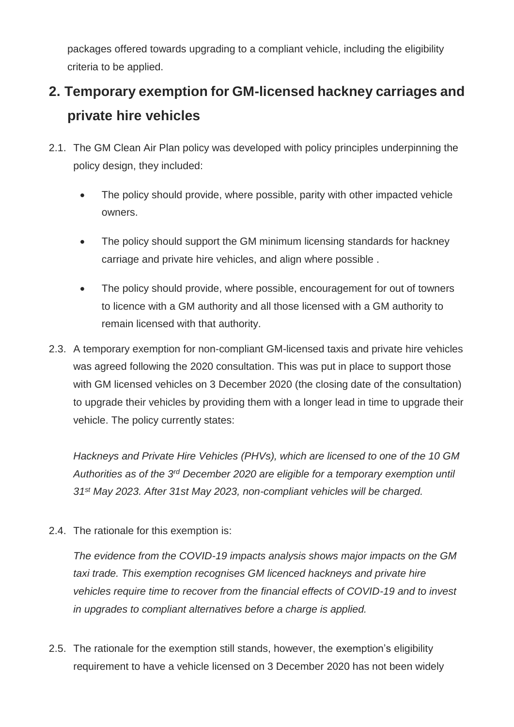packages offered towards upgrading to a compliant vehicle, including the eligibility criteria to be applied.

# **2. Temporary exemption for GM-licensed hackney carriages and private hire vehicles**

- 2.1. The GM Clean Air Plan policy was developed with policy principles underpinning the policy design, they included:
	- The policy should provide, where possible, parity with other impacted vehicle owners.
	- The policy should support the GM minimum licensing standards for hackney carriage and private hire vehicles, and align where possible .
	- The policy should provide, where possible, encouragement for out of towners to licence with a GM authority and all those licensed with a GM authority to remain licensed with that authority.
- 2.3. A temporary exemption for non-compliant GM-licensed taxis and private hire vehicles was agreed following the 2020 consultation. This was put in place to support those with GM licensed vehicles on 3 December 2020 (the closing date of the consultation) to upgrade their vehicles by providing them with a longer lead in time to upgrade their vehicle. The policy currently states:

*Hackneys and Private Hire Vehicles (PHVs), which are licensed to one of the 10 GM Authorities as of the 3rd December 2020 are eligible for a temporary exemption until 31st May 2023. After 31st May 2023, non-compliant vehicles will be charged.*

2.4. The rationale for this exemption is:

*The evidence from the COVID-19 impacts analysis shows major impacts on the GM taxi trade. This exemption recognises GM licenced hackneys and private hire vehicles require time to recover from the financial effects of COVID-19 and to invest in upgrades to compliant alternatives before a charge is applied.*

2.5. The rationale for the exemption still stands, however, the exemption's eligibility requirement to have a vehicle licensed on 3 December 2020 has not been widely